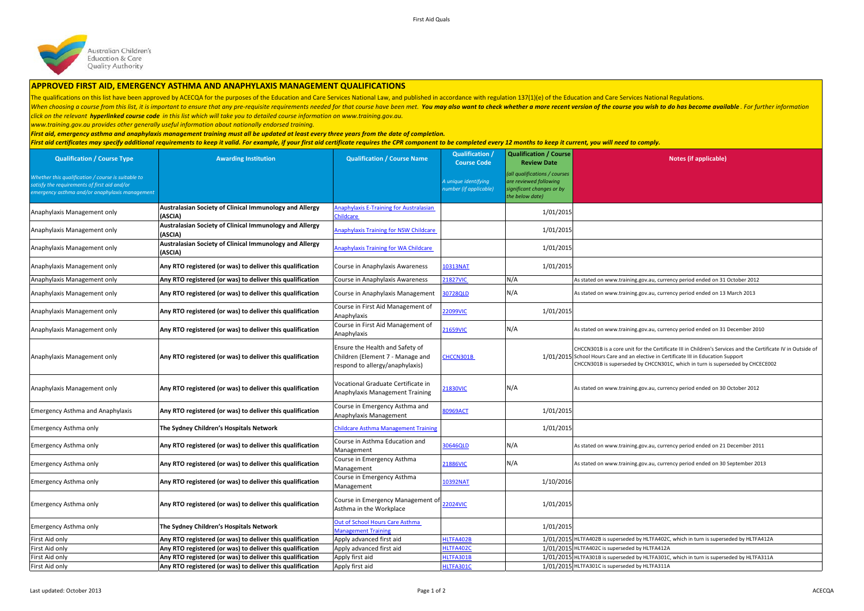

## **APPROVED FIRST AID, EMERGENCY ASTHMA AND ANAPHYLAXIS MANAGEMENT QUALIFICATIONS**

The qualifications on this list have been approved by ACECQA for the purposes of the Education and Care Services National Law, and published in accordance with regulation 137(1)(e) of the Education and Care Services Nation

When choosing a course from this list, it is important to ensure that any pre-requisite requirements needed for that course have been met. You may also want to check whether a more recent version of the course you wish to *click on the relevant hyperlinked course code in this list which will take you to detailed course information on www.training.gov.au.* 

*www.training.gov.au provides other generally useful information about nationally endorsed training.* 

*First aid, emergency asthma and anaphylaxis management training must all be updated at least every three years from the date of completion.* 

First aid certificates may specify additional requirements to keep it valid. For example, if your first aid certificate requires the CPR component to be completed every 12 months to keep it current, you will need to comply

| <b>Qualification / Course Type</b>                                                                                                                 | <b>Awarding Institution</b>                                        | <b>Qualification / Course Name</b>                                                                     | Qualification /<br><b>Course Code</b>          | <b>Qualification / Course</b><br><b>Review Date</b>                                                     | Notes (if applicable)                                                                                                                                                                                                                                                                 |
|----------------------------------------------------------------------------------------------------------------------------------------------------|--------------------------------------------------------------------|--------------------------------------------------------------------------------------------------------|------------------------------------------------|---------------------------------------------------------------------------------------------------------|---------------------------------------------------------------------------------------------------------------------------------------------------------------------------------------------------------------------------------------------------------------------------------------|
| Whether this qualification / course is suitable to<br>atisfy the requirements of first aid and/or<br>mergency asthma and/or anaphylaxis management |                                                                    |                                                                                                        | A unique identifying<br>number (if applicable) | (all qualifications / courses<br>are reviewed following<br>significant changes or by<br>the below date) |                                                                                                                                                                                                                                                                                       |
| Anaphylaxis Management only                                                                                                                        | Australasian Society of Clinical Immunology and Allergy<br>(ASCIA) | <b>Anaphylaxis E-Training for Australasian</b><br><u>Childcare</u>                                     |                                                | 1/01/2015                                                                                               |                                                                                                                                                                                                                                                                                       |
| Anaphylaxis Management only                                                                                                                        | Australasian Society of Clinical Immunology and Allergy<br>(ASCIA) | Anaphylaxis Training for NSW Childcare                                                                 |                                                | 1/01/2015                                                                                               |                                                                                                                                                                                                                                                                                       |
| Anaphylaxis Management only                                                                                                                        | Australasian Society of Clinical Immunology and Allergy<br>(ASCIA) | <b>Anaphylaxis Training for WA Childcare</b>                                                           |                                                | 1/01/2015                                                                                               |                                                                                                                                                                                                                                                                                       |
| Anaphylaxis Management only                                                                                                                        | Any RTO registered (or was) to deliver this qualification          | Course in Anaphylaxis Awareness                                                                        | 10313NAT                                       | 1/01/2015                                                                                               |                                                                                                                                                                                                                                                                                       |
| Anaphylaxis Management only                                                                                                                        | Any RTO registered (or was) to deliver this qualification          | Course in Anaphylaxis Awareness                                                                        | 21827VIC                                       | N/A                                                                                                     | As stated on www.training.gov.au, currency period ended on 31 October 2012                                                                                                                                                                                                            |
| Anaphylaxis Management only                                                                                                                        | Any RTO registered (or was) to deliver this qualification          | Course in Anaphylaxis Management                                                                       | 80728QLD                                       | N/A                                                                                                     | As stated on www.training.gov.au, currency period ended on 13 March 2013                                                                                                                                                                                                              |
| Anaphylaxis Management only                                                                                                                        | Any RTO registered (or was) to deliver this qualification          | Course in First Aid Management of<br>Anaphylaxis                                                       | 22099VIC                                       | 1/01/2015                                                                                               |                                                                                                                                                                                                                                                                                       |
| Anaphylaxis Management only                                                                                                                        | Any RTO registered (or was) to deliver this qualification          | Course in First Aid Management of<br>Anaphylaxis                                                       | 21659VIC                                       | N/A                                                                                                     | As stated on www.training.gov.au, currency period ended on 31 December 2010                                                                                                                                                                                                           |
| Anaphylaxis Management only                                                                                                                        | Any RTO registered (or was) to deliver this qualification          | Ensure the Health and Safety of<br>Children (Element 7 - Manage and<br>respond to allergy/anaphylaxis) | CHCCN301B                                      |                                                                                                         | CHCCN301B is a core unit for the Certificate III in Children's Services and the Certificate IV in Outside of<br>1/01/2015 School Hours Care and an elective in Certificate III in Education Support<br>CHCCN301B is superseded by CHCCN301C, which in turn is superseded by CHCECE002 |
| Anaphylaxis Management only                                                                                                                        | Any RTO registered (or was) to deliver this qualification          | Vocational Graduate Certificate in<br>Anaphylaxis Management Training                                  | 21830VIC                                       | N/A                                                                                                     | As stated on www.training.gov.au, currency period ended on 30 October 2012                                                                                                                                                                                                            |
| <b>Emergency Asthma and Anaphylaxis</b>                                                                                                            | Any RTO registered (or was) to deliver this qualification          | Course in Emergency Asthma and<br>Anaphylaxis Management                                               | 80969ACT                                       | 1/01/2015                                                                                               |                                                                                                                                                                                                                                                                                       |
| Emergency Asthma only                                                                                                                              | The Sydney Children's Hospitals Network                            | <b>Childcare Asthma Management Training</b>                                                            |                                                | 1/01/2015                                                                                               |                                                                                                                                                                                                                                                                                       |
| Emergency Asthma only                                                                                                                              | Any RTO registered (or was) to deliver this qualification          | Course in Asthma Education and<br>Management                                                           | 30646QLD                                       | N/A                                                                                                     | As stated on www.training.gov.au, currency period ended on 21 December 2011                                                                                                                                                                                                           |
| Emergency Asthma only                                                                                                                              | Any RTO registered (or was) to deliver this qualification          | Course in Emergency Asthma<br>Management                                                               | 21886VIC                                       | N/A                                                                                                     | As stated on www.training.gov.au, currency period ended on 30 September 2013                                                                                                                                                                                                          |
| Emergency Asthma only                                                                                                                              | Any RTO registered (or was) to deliver this qualification          | Course in Emergency Asthma<br>Management                                                               | 10392NAT                                       | 1/10/2016                                                                                               |                                                                                                                                                                                                                                                                                       |
| Emergency Asthma only                                                                                                                              | Any RTO registered (or was) to deliver this qualification          | Course in Emergency Management of<br>Asthma in the Workplace                                           | 22024VIC                                       | 1/01/2015                                                                                               |                                                                                                                                                                                                                                                                                       |
| Emergency Asthma only                                                                                                                              | The Sydney Children's Hospitals Network                            | Out of School Hours Care Asthma<br><b>Management Training</b>                                          |                                                | 1/01/2015                                                                                               |                                                                                                                                                                                                                                                                                       |
| First Aid only                                                                                                                                     | Any RTO registered (or was) to deliver this qualification          | Apply advanced first aid                                                                               | ILTFA402B                                      |                                                                                                         | 1/01/2015 HLTFA402B is superseded by HLTFA402C, which in turn is superseded by HLTFA412A                                                                                                                                                                                              |
| First Aid only                                                                                                                                     | Any RTO registered (or was) to deliver this qualification          | Apply advanced first aid                                                                               | ILTFA402C                                      |                                                                                                         | 1/01/2015 HLTFA402C is superseded by HLTFA412A                                                                                                                                                                                                                                        |
| First Aid only                                                                                                                                     | Any RTO registered (or was) to deliver this qualification          | Apply first aid                                                                                        | ILTFA301B                                      |                                                                                                         | 1/01/2015 HLTFA301B is superseded by HLTFA301C, which in turn is superseded by HLTFA311A                                                                                                                                                                                              |
| First Aid only                                                                                                                                     | Any RTO registered (or was) to deliver this qualification          | Apply first aid                                                                                        | ILTFA301C                                      |                                                                                                         | 1/01/2015 HLTFA301C is superseded by HLTFA311A                                                                                                                                                                                                                                        |